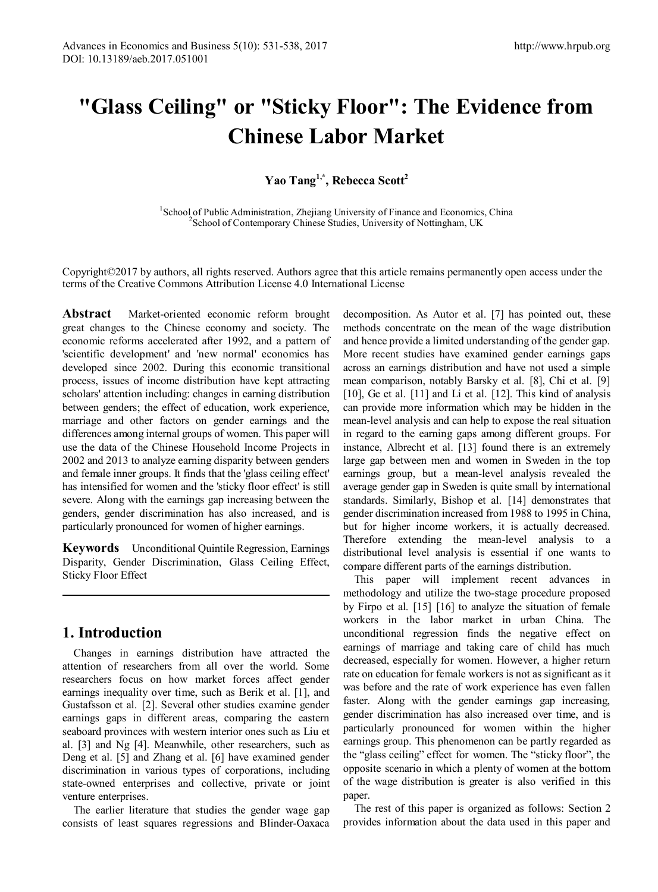# **"Glass Ceiling" or "Sticky Floor": The Evidence from Chinese Labor Market**

**Yao Tang1,\*, Rebecca Scott2** 

<sup>1</sup>School of Public Administration, Zhejiang University of Finance and Economics, China <sup>2</sup>School of Contemporary Chinese Studies, University of Nottingham *UK* <sup>2</sup> School of Contemporary Chinese Studies, University of Nottingham, UK

Copyright©2017 by authors, all rights reserved. Authors agree that this article remains permanently open access under the terms of the Creative Commons Attribution License 4.0 International License

**Abstract** Market-oriented economic reform brought great changes to the Chinese economy and society. The economic reforms accelerated after 1992, and a pattern of 'scientific development' and 'new normal' economics has developed since 2002. During this economic transitional process, issues of income distribution have kept attracting scholars' attention including: changes in earning distribution between genders; the effect of education, work experience, marriage and other factors on gender earnings and the differences among internal groups of women. This paper will use the data of the Chinese Household Income Projects in 2002 and 2013 to analyze earning disparity between genders and female inner groups. It finds that the 'glass ceiling effect' has intensified for women and the 'sticky floor effect' is still severe. Along with the earnings gap increasing between the genders, gender discrimination has also increased, and is particularly pronounced for women of higher earnings.

**Keywords** Unconditional Quintile Regression, Earnings Disparity, Gender Discrimination, Glass Ceiling Effect, Sticky Floor Effect

## **1. Introduction**

Changes in earnings distribution have attracted the attention of researchers from all over the world. Some researchers focus on how market forces affect gender earnings inequality over time, such as Berik et al. [1], and Gustafsson et al. [2]. Several other studies examine gender earnings gaps in different areas, comparing the eastern seaboard provinces with western interior ones such as Liu et al. [3] and Ng [4]. Meanwhile, other researchers, such as Deng et al. [5] and Zhang et al. [6] have examined gender discrimination in various types of corporations, including state-owned enterprises and collective, private or joint venture enterprises.

The earlier literature that studies the gender wage gap consists of least squares regressions and Blinder-Oaxaca decomposition. As Autor et al. [7] has pointed out, these methods concentrate on the mean of the wage distribution and hence provide a limited understanding of the gender gap. More recent studies have examined gender earnings gaps across an earnings distribution and have not used a simple mean comparison, notably Barsky et al. [8], Chi et al. [9] [10], Ge et al. [11] and Li et al. [12]. This kind of analysis can provide more information which may be hidden in the mean-level analysis and can help to expose the real situation in regard to the earning gaps among different groups. For instance, Albrecht et al. [13] found there is an extremely large gap between men and women in Sweden in the top earnings group, but a mean-level analysis revealed the average gender gap in Sweden is quite small by international standards. Similarly, Bishop et al. [14] demonstrates that gender discrimination increased from 1988 to 1995 in China, but for higher income workers, it is actually decreased. Therefore extending the mean-level analysis to a distributional level analysis is essential if one wants to compare different parts of the earnings distribution.

This paper will implement recent advances in methodology and utilize the two-stage procedure proposed by Firpo et al. [15] [16] to analyze the situation of female workers in the labor market in urban China. The unconditional regression finds the negative effect on earnings of marriage and taking care of child has much decreased, especially for women. However, a higher return rate on education for female workers is not as significant as it was before and the rate of work experience has even fallen faster. Along with the gender earnings gap increasing, gender discrimination has also increased over time, and is particularly pronounced for women within the higher earnings group. This phenomenon can be partly regarded as the "glass ceiling" effect for women. The "sticky floor", the opposite scenario in which a plenty of women at the bottom of the wage distribution is greater is also verified in this paper.

The rest of this paper is organized as follows: Section 2 provides information about the data used in this paper and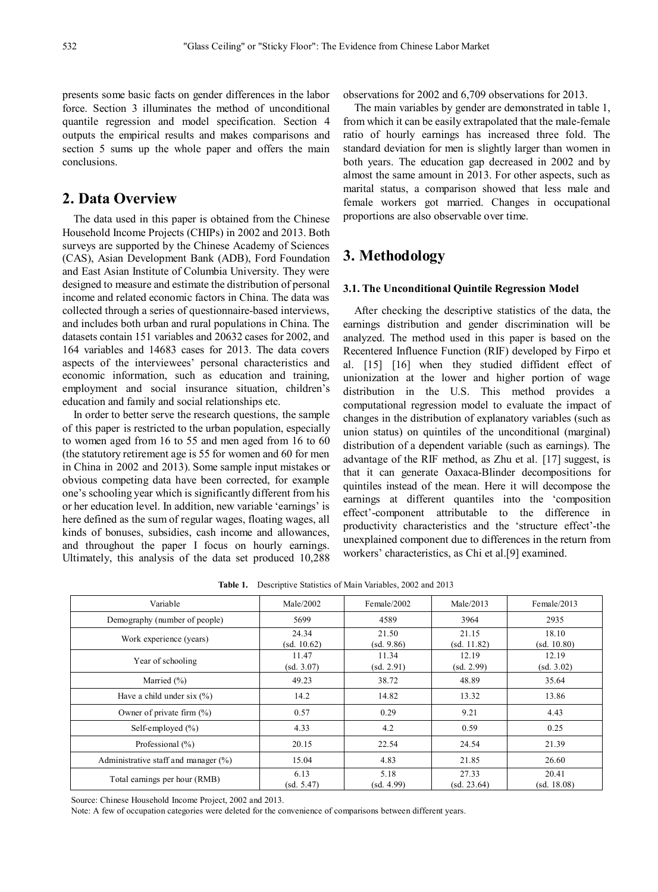presents some basic facts on gender differences in the labor force. Section 3 illuminates the method of unconditional quantile regression and model specification. Section 4 outputs the empirical results and makes comparisons and section 5 sums up the whole paper and offers the main conclusions.

# **2. Data Overview**

The data used in this paper is obtained from the Chinese Household Income Projects (CHIPs) in 2002 and 2013. Both surveys are supported by the Chinese Academy of Sciences (CAS), Asian Development Bank (ADB), Ford Foundation and East Asian Institute of Columbia University. They were designed to measure and estimate the distribution of personal income and related economic factors in China. The data was collected through a series of questionnaire-based interviews, and includes both urban and rural populations in China. The datasets contain 151 variables and 20632 cases for 2002, and 164 variables and 14683 cases for 2013. The data covers aspects of the interviewees' personal characteristics and economic information, such as education and training, employment and social insurance situation, children's education and family and social relationships etc.

In order to better serve the research questions, the sample of this paper is restricted to the urban population, especially to women aged from 16 to 55 and men aged from 16 to 60 (the statutory retirement age is 55 for women and 60 for men in China in 2002 and 2013). Some sample input mistakes or obvious competing data have been corrected, for example one's schooling year which is significantly different from his or her education level. In addition, new variable 'earnings' is here defined as the sum of regular wages, floating wages, all kinds of bonuses, subsidies, cash income and allowances, and throughout the paper I focus on hourly earnings. Ultimately, this analysis of the data set produced 10,288 observations for 2002 and 6,709 observations for 2013.

The main variables by gender are demonstrated in table 1, from which it can be easily extrapolated that the male-female ratio of hourly earnings has increased three fold. The standard deviation for men is slightly larger than women in both years. The education gap decreased in 2002 and by almost the same amount in 2013. For other aspects, such as marital status, a comparison showed that less male and female workers got married. Changes in occupational proportions are also observable over time.

# **3. Methodology**

#### **3.1. The Unconditional Quintile Regression Model**

After checking the descriptive statistics of the data, the earnings distribution and gender discrimination will be analyzed. The method used in this paper is based on the Recentered Influence Function (RIF) developed by Firpo et al. [15] [16] when they studied diffident effect of unionization at the lower and higher portion of wage distribution in the U.S. This method provides a computational regression model to evaluate the impact of changes in the distribution of explanatory variables (such as union status) on quintiles of the unconditional (marginal) distribution of a dependent variable (such as earnings). The advantage of the RIF method, as Zhu et al. [17] suggest, is that it can generate Oaxaca-Blinder decompositions for quintiles instead of the mean. Here it will decompose the earnings at different quantiles into the 'composition effect'-component attributable to the difference in productivity characteristics and the 'structure effect'-the unexplained component due to differences in the return from workers' characteristics, as Chi et al.[9] examined.

| Variable                                | Male/2002            | Female/2002         | Male/2013            | Female/2013          |  |
|-----------------------------------------|----------------------|---------------------|----------------------|----------------------|--|
| Demography (number of people)           | 5699                 | 4589                | 3964                 | 2935                 |  |
| Work experience (years)                 | 24.34<br>(sd. 10.62) | 21.50<br>(sd. 9.86) | 21.15<br>(sd. 11.82) | 18.10<br>(sd. 10.80) |  |
| Year of schooling                       | 11.47<br>(sd. 3.07)  | 11.34<br>(sd. 2.91) | 12.19<br>(sd. 2.99)  | 12.19<br>(sd. 3.02)  |  |
| Married $(\% )$                         | 49.23                | 38.72               | 48.89                | 35.64                |  |
| Have a child under six $(\% )$          | 14.2                 | 14.82               | 13.32                | 13.86                |  |
| Owner of private firm $(\% )$           | 0.57                 | 0.29                | 9.21                 | 4.43                 |  |
| Self-employed $(\% )$                   | 4.33                 | 4.2                 | 0.59                 | 0.25                 |  |
| Professional (%)                        | 20.15                | 22.54               | 24.54                | 21.39                |  |
| Administrative staff and manager $(\%)$ | 15.04                | 4.83                | 21.85                | 26.60                |  |
| Total earnings per hour (RMB)           | 6.13<br>(sd. 5.47)   | 5.18<br>(sd. 4.99)  | 27.33<br>(sd. 23.64) | 20.41<br>(sd. 18.08) |  |

**Table 1.** Descriptive Statistics of Main Variables, 2002 and 2013

Source: Chinese Household Income Project, 2002 and 2013.

Note: A few of occupation categories were deleted for the convenience of comparisons between different years.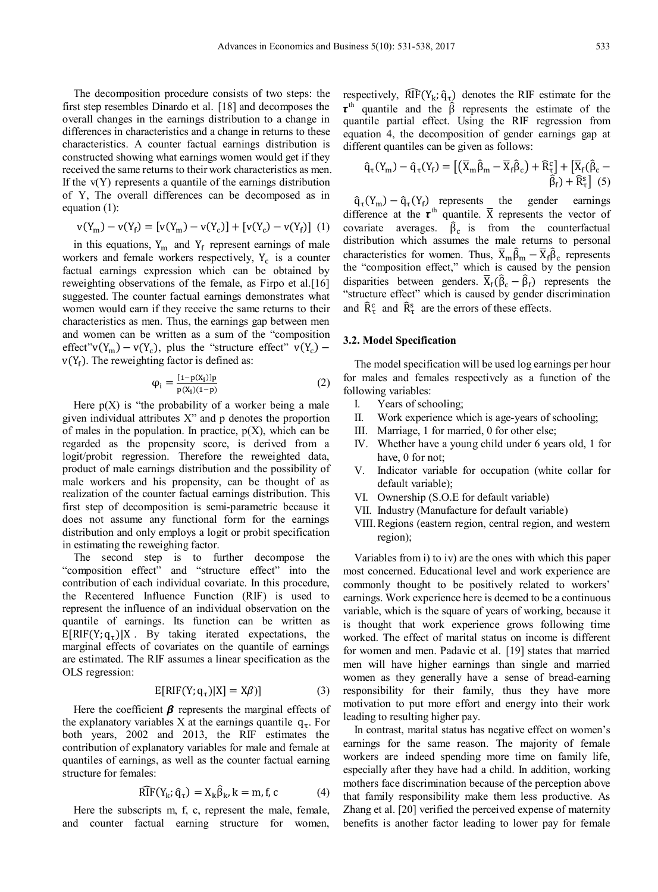The decomposition procedure consists of two steps: the first step resembles Dinardo et al. [18] and decomposes the overall changes in the earnings distribution to a change in differences in characteristics and a change in returns to these characteristics. A counter factual earnings distribution is constructed showing what earnings women would get if they received the same returns to their work characteristics as men. If the  $v(Y)$  represents a quantile of the earnings distribution of Y, The overall differences can be decomposed as in equation (1):

$$
v(Y_m) - v(Y_f) = [v(Y_m) - v(Y_c)] + [v(Y_c) - v(Y_f)]
$$
 (1)

in this equations,  $Y_m$  and  $Y_f$  represent earnings of male workers and female workers respectively,  $Y_c$  is a counter factual earnings expression which can be obtained by reweighting observations of the female, as Firpo et al.[16] suggested. The counter factual earnings demonstrates what women would earn if they receive the same returns to their characteristics as men. Thus, the earnings gap between men and women can be written as a sum of the "composition effect"v(Y<sub>m</sub>) – v(Y<sub>c</sub>), plus the "structure effect" v(Y<sub>c</sub>) –  $v(Y_f)$ . The reweighting factor is defined as:

$$
\varphi_{i} = \frac{[1 - p(X_{i})]p}{p(X_{i})(1 - p)}
$$
\n(2)

Here  $p(X)$  is "the probability of a worker being a male given individual attributes X" and p denotes the proportion of males in the population. In practice,  $p(X)$ , which can be regarded as the propensity score, is derived from a logit/probit regression. Therefore the reweighted data, product of male earnings distribution and the possibility of male workers and his propensity, can be thought of as realization of the counter factual earnings distribution. This first step of decomposition is semi-parametric because it does not assume any functional form for the earnings distribution and only employs a logit or probit specification in estimating the reweighing factor.

The second step is to further decompose the "composition effect" and "structure effect" into the contribution of each individual covariate. In this procedure, the Recentered Influence Function (RIF) is used to represent the influence of an individual observation on the quantile of earnings. Its function can be written as  $E[RIF(Y; q<sub>T</sub>)|X$ . By taking iterated expectations, the marginal effects of covariates on the quantile of earnings are estimated. The RIF assumes a linear specification as the OLS regression:

$$
E[RIF(Y; q\tau)|X] = X\beta)]
$$
 (3)

Here the coefficient  $\beta$  represents the marginal effects of the explanatory variables X at the earnings quantile  $q_{\tau}$ . For both years, 2002 and 2013, the RIF estimates the contribution of explanatory variables for male and female at quantiles of earnings, as well as the counter factual earning structure for females:

$$
\widehat{\text{RIF}}(\mathbf{Y}_{\mathbf{k}}; \widehat{\mathbf{q}}_{\tau}) = \mathbf{X}_{\mathbf{k}} \widehat{\mathbf{\beta}}_{\mathbf{k}}, \mathbf{k} = \mathbf{m}, \mathbf{f}, \mathbf{c}
$$
 (4)

Here the subscripts m, f, c, represent the male, female, and counter factual earning structure for women, respectively,  $\widehat{RIF}(Y_k; \hat{q}_\tau)$  denotes the RIF estimate for the  $\tau$ <sup>th</sup> quantile and the  $\hat{\beta}$  represents the estimate of the quantile partial effect. Using the RIF regression from equation 4, the decomposition of gender earnings gap at different quantiles can be given as follows:

$$
\hat{q}_{\tau}(Y_m) - \hat{q}_{\tau}(Y_f) = \left[ \left( \overline{X}_m \hat{\beta}_m - \overline{X}_f \hat{\beta}_c \right) + \widehat{R}_{\tau}^c \right] + \left[ \overline{X}_f (\hat{\beta}_c - \hat{\beta}_f) + \widehat{R}_{\tau}^s \right] \tag{5}
$$

 $\hat{q}_{\tau}(Y_m) - \hat{q}_{\tau}(Y_f)$  represents the gender earnings difference at the  $\tau^{\text{th}}$  quantile.  $\bar{X}$  represents the vector of covariate averages.  $\hat{\beta}_c$  is from the counterfactual distribution which assumes the male returns to personal characteristics for women. Thus,  $\overline{X}_m \hat{\beta}_m - \overline{X}_f \hat{\beta}_c$  represents the "composition effect," which is caused by the pension disparities between genders.  $\overline{X}_f(\hat{\beta}_c - \hat{\beta}_f)$  represents the "structure effect" which is caused by gender discrimination and  $\overline{R}_{\tau}^{\text{c}}$  and  $\overline{R}_{\tau}^{\text{s}}$  are the errors of these effects.

## **3.2. Model Specification**

The model specification will be used log earnings per hour for males and females respectively as a function of the following variables:

- I. Years of schooling;
- II. Work experience which is age-years of schooling;
- III. Marriage, 1 for married, 0 for other else;
- IV. Whether have a young child under 6 years old, 1 for have, 0 for not;
- V. Indicator variable for occupation (white collar for default variable);
- VI. Ownership (S.O.E for default variable)
- VII. Industry (Manufacture for default variable)
- VIII.Regions (eastern region, central region, and western region);

Variables from i) to iv) are the ones with which this paper most concerned. Educational level and work experience are commonly thought to be positively related to workers' earnings. Work experience here is deemed to be a continuous variable, which is the square of years of working, because it is thought that work experience grows following time worked. The effect of marital status on income is different for women and men. Padavic et al. [19] states that married men will have higher earnings than single and married women as they generally have a sense of bread-earning responsibility for their family, thus they have more motivation to put more effort and energy into their work leading to resulting higher pay.

In contrast, marital status has negative effect on women's earnings for the same reason. The majority of female workers are indeed spending more time on family life, especially after they have had a child. In addition, working mothers face discrimination because of the perception above that family responsibility make them less productive. As Zhang et al. [20] verified the perceived expense of maternity benefits is another factor leading to lower pay for female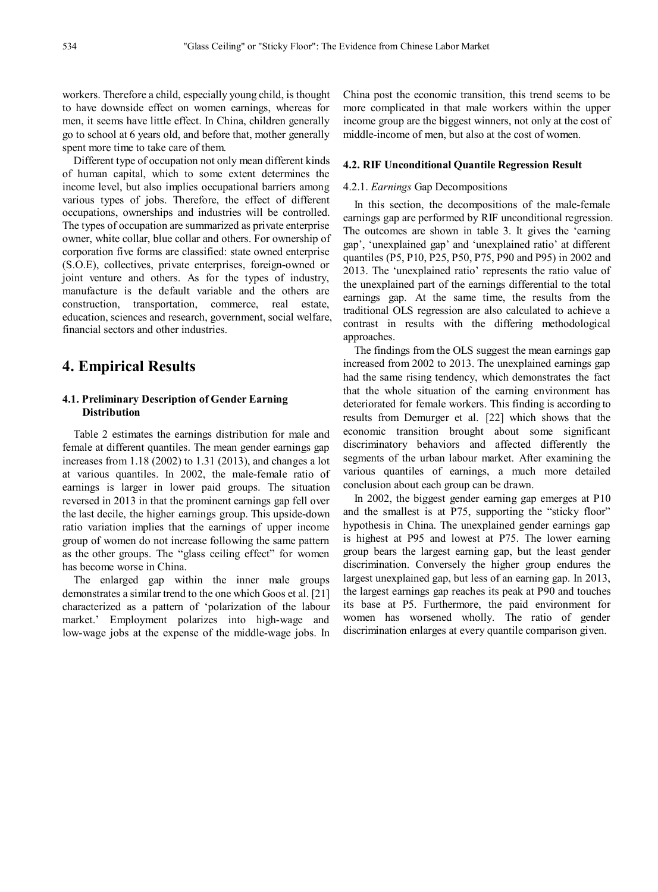workers. Therefore a child, especially young child, is thought to have downside effect on women earnings, whereas for men, it seems have little effect. In China, children generally go to school at 6 years old, and before that, mother generally spent more time to take care of them.

Different type of occupation not only mean different kinds of human capital, which to some extent determines the income level, but also implies occupational barriers among various types of jobs. Therefore, the effect of different occupations, ownerships and industries will be controlled. The types of occupation are summarized as private enterprise owner, white collar, blue collar and others. For ownership of corporation five forms are classified: state owned enterprise (S.O.E), collectives, private enterprises, foreign-owned or joint venture and others. As for the types of industry, manufacture is the default variable and the others are construction, transportation, commerce, real estate, education, sciences and research, government, social welfare, financial sectors and other industries.

## **4. Empirical Results**

## **4.1. Preliminary Description of Gender Earning Distribution**

Table 2 estimates the earnings distribution for male and female at different quantiles. The mean gender earnings gap increases from 1.18 (2002) to 1.31 (2013), and changes a lot at various quantiles. In 2002, the male-female ratio of earnings is larger in lower paid groups. The situation reversed in 2013 in that the prominent earnings gap fell over the last decile, the higher earnings group. This upside-down ratio variation implies that the earnings of upper income group of women do not increase following the same pattern as the other groups. The "glass ceiling effect" for women has become worse in China.

The enlarged gap within the inner male groups demonstrates a similar trend to the one which Goos et al. [21] characterized as a pattern of 'polarization of the labour market.' Employment polarizes into high-wage and low-wage jobs at the expense of the middle-wage jobs. In

China post the economic transition, this trend seems to be more complicated in that male workers within the upper income group are the biggest winners, not only at the cost of middle-income of men, but also at the cost of women.

#### **4.2. RIF Unconditional Quantile Regression Result**

#### 4.2.1. *Earnings* Gap Decompositions

In this section, the decompositions of the male-female earnings gap are performed by RIF unconditional regression. The outcomes are shown in table 3. It gives the 'earning gap', 'unexplained gap' and 'unexplained ratio' at different quantiles (P5, P10, P25, P50, P75, P90 and P95) in 2002 and 2013. The 'unexplained ratio' represents the ratio value of the unexplained part of the earnings differential to the total earnings gap. At the same time, the results from the traditional OLS regression are also calculated to achieve a contrast in results with the differing methodological approaches.

The findings from the OLS suggest the mean earnings gap increased from 2002 to 2013. The unexplained earnings gap had the same rising tendency, which demonstrates the fact that the whole situation of the earning environment has deteriorated for female workers. This finding is according to results from Demurger et al. [22] which shows that the economic transition brought about some significant discriminatory behaviors and affected differently the segments of the urban labour market. After examining the various quantiles of earnings, a much more detailed conclusion about each group can be drawn.

In 2002, the biggest gender earning gap emerges at P10 and the smallest is at P75, supporting the "sticky floor" hypothesis in China. The unexplained gender earnings gap is highest at P95 and lowest at P75. The lower earning group bears the largest earning gap, but the least gender discrimination. Conversely the higher group endures the largest unexplained gap, but less of an earning gap. In 2013, the largest earnings gap reaches its peak at P90 and touches its base at P5. Furthermore, the paid environment for women has worsened wholly. The ratio of gender discrimination enlarges at every quantile comparison given.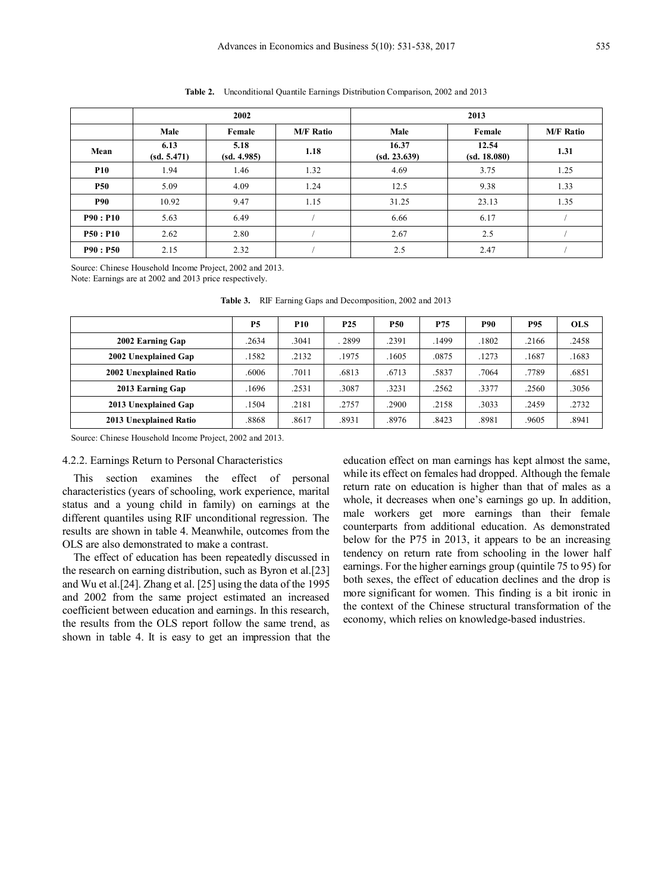|            |                     | 2002                |                  | 2013                  |                       |                  |  |  |  |  |
|------------|---------------------|---------------------|------------------|-----------------------|-----------------------|------------------|--|--|--|--|
|            | Male                |                     | <b>M/F Ratio</b> | Male                  | Female                | <b>M/F Ratio</b> |  |  |  |  |
| Mean       | 6.13<br>(sd. 5.471) | 5.18<br>(sd. 4.985) | 1.18             | 16.37<br>(sd. 23.639) | 12.54<br>(sd. 18.080) | 1.31             |  |  |  |  |
| <b>P10</b> | 1.94                | 1.46                | 1.32             | 4.69                  | 3.75                  | 1.25             |  |  |  |  |
| <b>P50</b> | 5.09                | 4.09                | 1.24             | 12.5                  | 9.38                  | 1.33             |  |  |  |  |
| <b>P90</b> | 10.92               | 9.47                | 1.15             | 31.25                 | 23.13                 | 1.35             |  |  |  |  |
| P90: P10   | 5.63                | 6.49                |                  | 6.66                  | 6.17                  |                  |  |  |  |  |
| P50: P10   | 2.62                | 2.80                |                  | 2.67                  | 2.5                   |                  |  |  |  |  |
| P90: P50   | 2.15                | 2.32                |                  | 2.5                   | 2.47                  |                  |  |  |  |  |

**Table 2.** Unconditional Quantile Earnings Distribution Comparison, 2002 and 2013

Source: Chinese Household Income Project, 2002 and 2013.

Note: Earnings are at 2002 and 2013 price respectively.

|                        | P <sub>5</sub> | <b>P10</b> | P <sub>25</sub> | P50   | P75   | <b>P90</b> | P95   | <b>OLS</b> |
|------------------------|----------------|------------|-----------------|-------|-------|------------|-------|------------|
| 2002 Earning Gap       | .2634          | .3041      | .2899           | .2391 | .1499 | .1802      | .2166 | .2458      |
| 2002 Unexplained Gap   | .1582          | .2132      | .1975           | .1605 | .0875 | .1273      | .1687 | .1683      |
| 2002 Unexplained Ratio | .6006          | .7011      | .6813           | .6713 | .5837 | .7064      | .7789 | .6851      |
| 2013 Earning Gap       | .1696          | .2531      | .3087           | .3231 | .2562 | .3377      | .2560 | .3056      |
| 2013 Unexplained Gap   | .1504          | .2181      | .2757           | .2900 | .2158 | .3033      | .2459 | .2732      |
| 2013 Unexplained Ratio | .8868          | .8617      | .8931           | .8976 | .8423 | .8981      | .9605 | .8941      |

**Table 3.** RIF Earning Gaps and Decomposition, 2002 and 2013

Source: Chinese Household Income Project, 2002 and 2013.

## 4.2.2. Earnings Return to Personal Characteristics

This section examines the effect of personal characteristics (years of schooling, work experience, marital status and a young child in family) on earnings at the different quantiles using RIF unconditional regression. The results are shown in table 4. Meanwhile, outcomes from the OLS are also demonstrated to make a contrast.

The effect of education has been repeatedly discussed in the research on earning distribution, such as Byron et al.[23] and Wu et al.[24]. Zhang et al. [25] using the data of the 1995 and 2002 from the same project estimated an increased coefficient between education and earnings. In this research, the results from the OLS report follow the same trend, as shown in table 4. It is easy to get an impression that the education effect on man earnings has kept almost the same, while its effect on females had dropped. Although the female return rate on education is higher than that of males as a whole, it decreases when one's earnings go up. In addition, male workers get more earnings than their female counterparts from additional education. As demonstrated below for the P75 in 2013, it appears to be an increasing tendency on return rate from schooling in the lower half earnings. For the higher earnings group (quintile 75 to 95) for both sexes, the effect of education declines and the drop is more significant for women. This finding is a bit ironic in the context of the Chinese structural transformation of the economy, which relies on knowledge-based industries.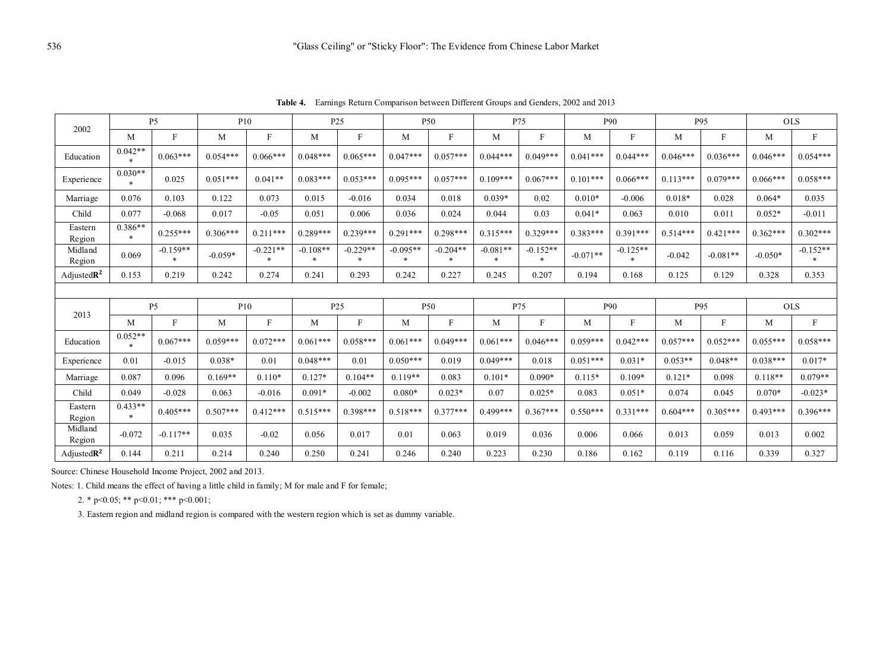**Table 4.** Earnings Return Comparison between Different Groups and Genders, 2002 and 2013

|                         |                     | P <sub>5</sub>        |            | P10                  |                      | P <sub>25</sub>      |                      | P50                  |                      | P75                  |            | P90                  |            | P95        |            | <b>OLS</b>   |  |
|-------------------------|---------------------|-----------------------|------------|----------------------|----------------------|----------------------|----------------------|----------------------|----------------------|----------------------|------------|----------------------|------------|------------|------------|--------------|--|
| 2002                    | M                   | F                     | M          | F                    | M                    | F                    | M                    | F                    | M                    | F                    | M          | F                    | M          | F          | M          | $\mathbf{F}$ |  |
| Education               | $0.042**$<br>$\ast$ | $0.063***$            | $0.054***$ | $0.066***$           | $0.048***$           | $0.065***$           | $0.047***$           | $0.057***$           | $0.044***$           | $0.049***$           | $0.041***$ | $0.044***$           | $0.046***$ | $0.036***$ | $0.046***$ | $0.054***$   |  |
| Experience              | $0.030**$<br>$*$    | 0.025                 | $0.051***$ | $0.041**$            | $0.083***$           | $0.053***$           | $0.095***$           | $0.057***$           | $0.109***$           | $0.067***$           | $0.101***$ | $0.066***$           | $0.113***$ | $0.079***$ | $0.066***$ | $0.058***$   |  |
| Marriage                | 0.076               | 0.103                 | 0.122      | 0.073                | 0.015                | $-0.016$             | 0.034                | 0.018                | $0.039*$             | 0.02                 | $0.010*$   | $-0.006$             | $0.018*$   | 0.028      | $0.064*$   | 0.035        |  |
| Child                   | 0.077               | $-0.068$              | 0.017      | $-0.05$              | 0.051                | 0.006                | 0.036                | 0.024                | 0.044                | 0.03                 | $0.041*$   | 0.063                | 0.010      | 0.011      | $0.052*$   | $-0.011$     |  |
| Eastern<br>Region       | $0.386**$<br>$\ast$ | $0.255***$            | $0.306***$ | $0.211***$           | $0.289***$           | $0.239***$           | $0.291***$           | $0.298***$           | $0.315***$           | $0.329***$           | $0.383***$ | $0.391***$           | $0.514***$ | $0.421***$ | $0.362***$ | $0.302***$   |  |
| Midland<br>Region       | 0.069               | $-0.159**$<br>$\ast$  | $-0.059*$  | $-0.221**$<br>$\ast$ | $-0.108**$<br>$\ast$ | $-0.229**$<br>$\ast$ | $-0.095**$<br>$\ast$ | $-0.204**$<br>$\ast$ | $-0.081**$<br>$\ast$ | $-0.152**$<br>$\ast$ | $-0.071**$ | $-0.125**$<br>$\ast$ | $-0.042$   | $-0.081**$ | $-0.050*$  | $-0.152**$   |  |
| Adjusted $\mathbb{R}^2$ | 0.153               | 0.219                 | 0.242      | 0.274                | 0.241                | 0.293                | 0.242                | 0.227                | 0.245                | 0.207                | 0.194      | 0.168                | 0.125      | 0.129      | 0.328      | 0.353        |  |
|                         |                     |                       |            |                      |                      |                      |                      |                      |                      |                      |            |                      |            |            |            |              |  |
| 2013<br>M               |                     | P <sub>5</sub><br>P10 |            |                      | P <sub>25</sub>      |                      | P50                  |                      | P75                  |                      | P90        |                      | P95        |            | <b>OLS</b> |              |  |
|                         |                     | F                     | М          | $\mathbf{F}$         | М                    | $\mathbf{F}$         | M                    | F                    | M                    | $_{\rm F}$           | М          | F                    | M          | $_{\rm F}$ | M          | $\mathbf{F}$ |  |
| Education               | $0.052**$<br>$\ast$ | $0.067***$            | $0.059***$ | $0.072***$           | $0.061***$           | $0.058***$           | $0.061***$           | $0.049***$           | $0.061***$           | $0.046***$           | $0.059***$ | $0.042***$           | $0.057***$ | $0.052***$ | $0.055***$ | $0.058***$   |  |
| Experience              | 0.01                | $-0.015$              | $0.038*$   | 0.01                 | $0.048***$           | 0.01                 | $0.050***$           | 0.019                | $0.049***$           | 0.018                | $0.051***$ | $0.031*$             | $0.053**$  | $0.048**$  | $0.038***$ | $0.017*$     |  |
| Marriage                | 0.087               | 0.096                 | $0.169**$  | $0.110*$             | $0.127*$             | $0.104**$            | $0.119**$            | 0.083                | $0.101*$             | $0.090*$             | $0.115*$   | $0.109*$             | $0.121*$   | 0.098      | $0.118**$  | $0.079**$    |  |
| Child                   | 0.049               | $-0.028$              | 0.063      | $-0.016$             | $0.091*$             | $-0.002$             | $0.080*$             | $0.023*$             | 0.07                 | $0.025*$             | 0.083      | $0.051*$             | 0.074      | 0.045      | $0.070*$   | $-0.023*$    |  |
| Eastern<br>Region       | $0.433**$<br>$\ast$ | $0.405***$            | $0.507***$ | $0.412***$           | $0.515***$           | $0.398***$           | $0.518***$           | $0.377***$           | $0.499***$           | $0.367***$           | $0.550***$ | $0.331***$           | $0.604***$ | $0.305***$ | $0.493***$ | $0.396***$   |  |
| Midland<br>Region       | $-0.072$            | $-0.117**$            | 0.035      | $-0.02$              | 0.056                | 0.017                | 0.01                 | 0.063                | 0.019                | 0.036                | 0.006      | 0.066                | 0.013      | 0.059      | 0.013      | 0.002        |  |
| Adjusted $\mathbb{R}^2$ | 0.144               | 0.211                 | 0.214      | 0.240                | 0.250                | 0.241                | 0.246                | 0.240                | 0.223                | 0.230                | 0.186      | 0.162                | 0.119      | 0.116      | 0.339      | 0.327        |  |

Source: Chinese Household Income Project, 2002 and 2013.

Notes: 1. Child means the effect of having a little child in family; M for male and F for female;

2. \* p<0.05; \*\* p<0.01; \*\*\* p<0.001;

3. Eastern region and midland region is compared with the western region which is set as dummy variable.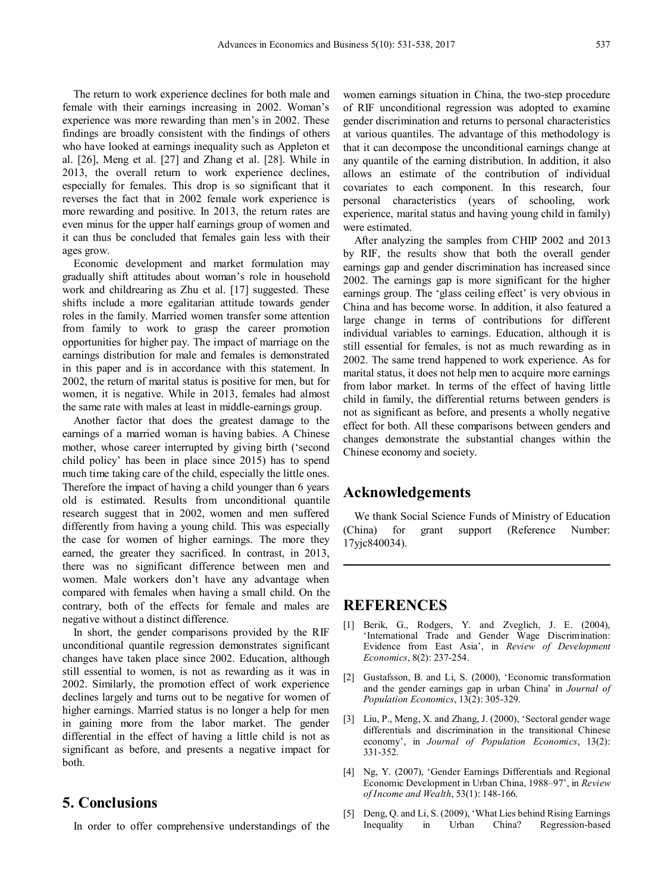The return to work experience declines for both male and female with their earnings increasing in 2002. Woman's experience was more rewarding than men's in 2002. These findings are broadly consistent with the findings of others who have looked at earnings inequality such as Appleton et al. [26], Meng et al. [27] and Zhang et al. [28]. While in 2013, the overall return to work experience declines, especially for females. This drop is so significant that it reverses the fact that in 2002 female work experience is more rewarding and positive. In 2013, the return rates are even minus for the upper half earnings group of women and it can thus be concluded that females gain less with their ages grow.

Economic development and market formulation may gradually shift attitudes about woman's role in household work and childrearing as Zhu et al. [17] suggested. These shifts include a more egalitarian attitude towards gender roles in the family. Married women transfer some attention from family to work to grasp the career promotion opportunities for higher pay. The impact of marriage on the earnings distribution for male and females is demonstrated in this paper and is in accordance with this statement. In 2002, the return of marital status is positive for men, but for women, it is negative. While in 2013, females had almost the same rate with males at least in middle-earnings group.

Another factor that does the greatest damage to the earnings of a married woman is having babies. A Chinese mother, whose career interrupted by giving birth ('second child policy' has been in place since 2015) has to spend much time taking care of the child, especially the little ones. Therefore the impact of having a child younger than 6 years old is estimated. Results from unconditional quantile research suggest that in 2002, women and men suffered differently from having a young child. This was especially the case for women of higher earnings. The more they earned, the greater they sacrificed. In contrast, in 2013, there was no significant difference between men and women. Male workers don't have any advantage when compared with females when having a small child. On the contrary, both of the effects for female and males are negative without a distinct difference.

In short, the gender comparisons provided by the RIF unconditional quantile regression demonstrates significant changes have taken place since 2002. Education, although still essential to women, is not as rewarding as it was in 2002. Similarly, the promotion effect of work experience declines largely and turns out to be negative for women of higher earnings. Married status is no longer a help for men in gaining more from the labor market. The gender differential in the effect of having a little child is not as significant as before, and presents a negative impact for both.

## **5. Conclusions**

In order to offer comprehensive understandings of the

women earnings situation in China, the two-step procedure of RIF unconditional regression was adopted to examine gender discrimination and returns to personal characteristics at various quantiles. The advantage of this methodology is that it can decompose the unconditional earnings change at any quantile of the earning distribution. In addition, it also allows an estimate of the contribution of individual covariates to each component. In this research, four personal characteristics (years of schooling, work experience, marital status and having young child in family) were estimated.

After analyzing the samples from CHIP 2002 and 2013 by RIF, the results show that both the overall gender earnings gap and gender discrimination has increased since 2002. The earnings gap is more significant for the higher earnings group. The 'glass ceiling effect' is very obvious in China and has become worse. In addition, it also featured a large change in terms of contributions for different individual variables to earnings. Education, although it is still essential for females, is not as much rewarding as in 2002. The same trend happened to work experience. As for marital status, it does not help men to acquire more earnings from labor market. In terms of the effect of having little child in family, the differential returns between genders is not as significant as before, and presents a wholly negative effect for both. All these comparisons between genders and changes demonstrate the substantial changes within the Chinese economy and society.

## **Acknowledgements**

We thank Social Science Funds of Ministry of Education (China) for grant support (Reference Number: 17yjc840034).

## **REFERENCES**

- [1] Berik, G., Rodgers, Y. and Zveglich, J. E. (2004), 'International Trade and Gender Wage Discrimination: Evidence from East Asia', in *Review of Development Economics*, 8(2): 237-254.
- [2] Gustafsson, B. and Li, S. (2000), 'Economic transformation and the gender earnings gap in urban China' in *Journal of Population Economics*, 13(2): 305-329.
- [3] Liu, P., Meng, X. and Zhang, J. (2000), 'Sectoral gender wage differentials and discrimination in the transitional Chinese economy', in *Journal of Population Economics*, 13(2): 331-352.
- [4] Ng, Y. (2007), 'Gender Earnings Differentials and Regional Economic Development in Urban China, 1988–97', in *Review of Income and Wealth*, 53(1): 148-166.
- [5] Deng, Q. and Li, S. (2009), 'What Lies behind Rising Earnings Inequality in Urban China? Regression-based